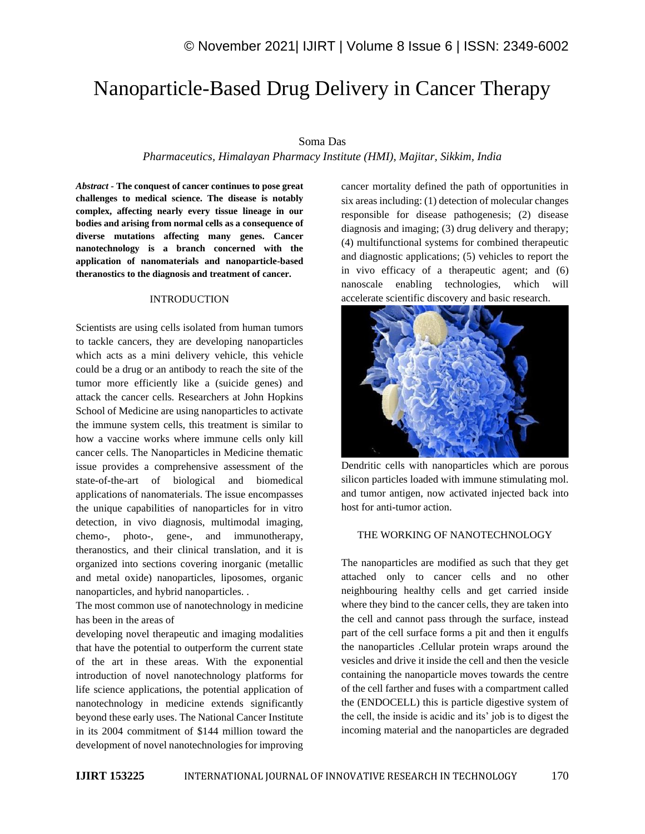# Nanoparticle-Based Drug Delivery in Cancer Therapy

## Soma Das

# *Pharmaceutics, Himalayan Pharmacy Institute (HMI), Majitar, Sikkim, India*

*Abstract -* **The conquest of cancer continues to pose great challenges to medical science. The disease is notably complex, affecting nearly every tissue lineage in our bodies and arising from normal cells as a consequence of diverse mutations affecting many genes. Cancer nanotechnology is a branch concerned with the application of nanomaterials and nanoparticle-based theranostics to the diagnosis and treatment of cancer.**

#### INTRODUCTION

Scientists are using cells isolated from human tumors to tackle cancers, they are developing nanoparticles which acts as a mini delivery vehicle, this vehicle could be a drug or an antibody to reach the site of the tumor more efficiently like a (suicide genes) and attack the cancer cells. Researchers at John Hopkins School of Medicine are using nanoparticles to activate the immune system cells, this treatment is similar to how a vaccine works where immune cells only kill cancer cells. The Nanoparticles in Medicine thematic issue provides a comprehensive assessment of the state-of-the-art of biological and biomedical applications of nanomaterials. The issue encompasses the unique capabilities of nanoparticles for in vitro detection, in vivo diagnosis, multimodal imaging, chemo-, photo-, gene-, and immunotherapy, theranostics, and their clinical translation, and it is organized into sections covering inorganic (metallic and metal oxide) nanoparticles, liposomes, organic nanoparticles, and hybrid nanoparticles. .

The most common use of nanotechnology in medicine has been in the areas of

developing novel therapeutic and imaging modalities that have the potential to outperform the current state of the art in these areas. With the exponential introduction of novel nanotechnology platforms for life science applications, the potential application of nanotechnology in medicine extends significantly beyond these early uses. The National Cancer Institute in its 2004 commitment of \$144 million toward the development of novel nanotechnologies for improving cancer mortality defined the path of opportunities in six areas including: (1) detection of molecular changes responsible for disease pathogenesis; (2) disease diagnosis and imaging; (3) drug delivery and therapy; (4) multifunctional systems for combined therapeutic and diagnostic applications; (5) vehicles to report the in vivo efficacy of a therapeutic agent; and (6) nanoscale enabling technologies, which will accelerate scientific discovery and basic research.



Dendritic cells with nanoparticles which are porous silicon particles loaded with immune stimulating mol. and tumor antigen, now activated injected back into host for anti-tumor action.

## THE WORKING OF NANOTECHNOLOGY

The nanoparticles are modified as such that they get attached only to cancer cells and no other neighbouring healthy cells and get carried inside where they bind to the cancer cells, they are taken into the cell and cannot pass through the surface, instead part of the cell surface forms a pit and then it engulfs the nanoparticles .Cellular protein wraps around the vesicles and drive it inside the cell and then the vesicle containing the nanoparticle moves towards the centre of the cell farther and fuses with a compartment called the (ENDOCELL) this is particle digestive system of the cell, the inside is acidic and its' job is to digest the incoming material and the nanoparticles are degraded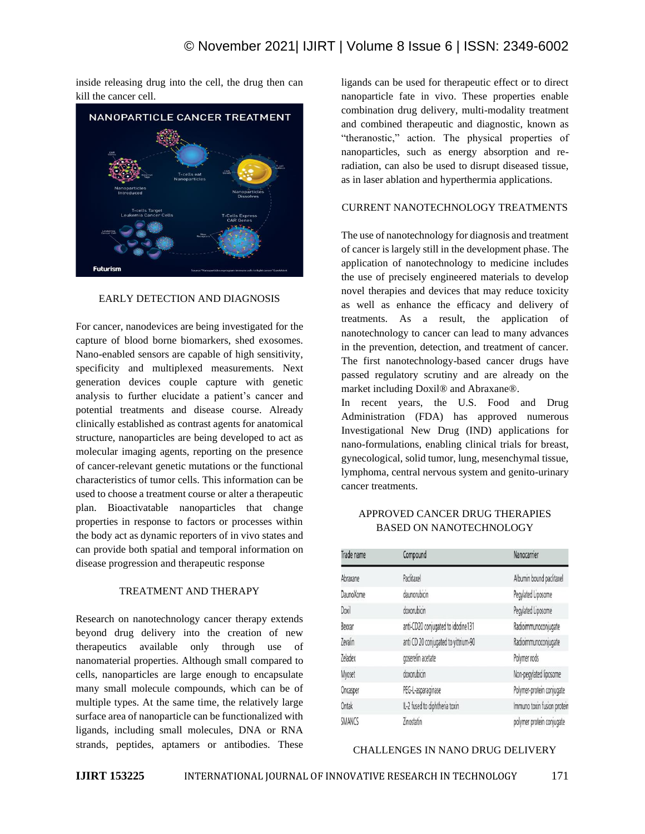inside releasing drug into the cell, the drug then can kill the cancer cell.



## EARLY DETECTION AND DIAGNOSIS

For cancer, nanodevices are being investigated for the capture of blood borne biomarkers, shed exosomes. Nano-enabled sensors are capable of high sensitivity, specificity and multiplexed measurements. Next generation devices couple capture with genetic analysis to further elucidate a patient's cancer and potential treatments and disease course. Already clinically established as contrast agents for anatomical structure, nanoparticles are being developed to act as molecular imaging agents, reporting on the presence of cancer-relevant genetic mutations or the functional characteristics of tumor cells. This information can be used to choose a treatment course or alter a therapeutic plan. Bioactivatable nanoparticles that change properties in response to factors or processes within the body act as dynamic reporters of in vivo states and can provide both spatial and temporal information on disease progression and therapeutic response

# TREATMENT AND THERAPY

Research on nanotechnology cancer therapy extends beyond drug delivery into the creation of new therapeutics available only through use of nanomaterial properties. Although small compared to cells, nanoparticles are large enough to encapsulate many small molecule compounds, which can be of multiple types. At the same time, the relatively large surface area of nanoparticle can be functionalized with ligands, including small molecules, DNA or RNA strands, peptides, aptamers or antibodies. These ligands can be used for therapeutic effect or to direct nanoparticle fate in vivo. These properties enable combination drug delivery, multi-modality treatment and combined therapeutic and diagnostic, known as "theranostic," action. The physical properties of nanoparticles, such as energy absorption and reradiation, can also be used to disrupt diseased tissue, as in laser ablation and hyperthermia applications.

## CURRENT NANOTECHNOLOGY TREATMENTS

The use of nanotechnology for diagnosis and treatment of cancer is largely still in the development phase. The application of nanotechnology to medicine includes the use of precisely engineered materials to develop novel therapies and devices that may reduce toxicity as well as enhance the efficacy and delivery of treatments. As a result, the application of nanotechnology to cancer can lead to many advances in the prevention, detection, and treatment of cancer. The first nanotechnology-based cancer drugs have passed regulatory scrutiny and are already on the market including Doxil® and Abraxane®.

In recent years, the U.S. Food and Drug Administration (FDA) has approved numerous Investigational New Drug (IND) applications for nano-formulations, enabling clinical trials for breast, gynecological, solid tumor, lung, mesenchymal tissue, lymphoma, central nervous system and genito-urinary cancer treatments.

## APPROVED CANCER DRUG THERAPIES BASED ON NANOTECHNOLOGY

| Trade name     | Compound                             | Nanocarrier                 |
|----------------|--------------------------------------|-----------------------------|
| Abraxane       | Paclitaxel                           | Albumin bound paclitaxel    |
| DaunoXome      | daunorubicin                         | Pegylated Liposome          |
| Doxil          | doxorubicin                          | Pegylated Liposome          |
| Bexxar         | anti-CD20 conjugated to idodine131   | Radioimmunoconjugate        |
| Zevalin        | anti CD 20 conjugated to yittrium-90 | Radioimmunoconjugate        |
| <b>Zeladex</b> | goserelin acetate                    | Polymer rods                |
| Myoset         | doxorubicin                          | Non-pegylated liposome      |
| Oncasper       | PEG-L-asparaginase                   | Polymer-protein conjugate   |
| Ontak          | IL-2 fused to diphtheria toxin       | Immuno toxin fusion protein |
| <b>SMANCS</b>  | Zinostatin                           | polymer protein conjugate   |

### CHALLENGES IN NANO DRUG DELIVERY